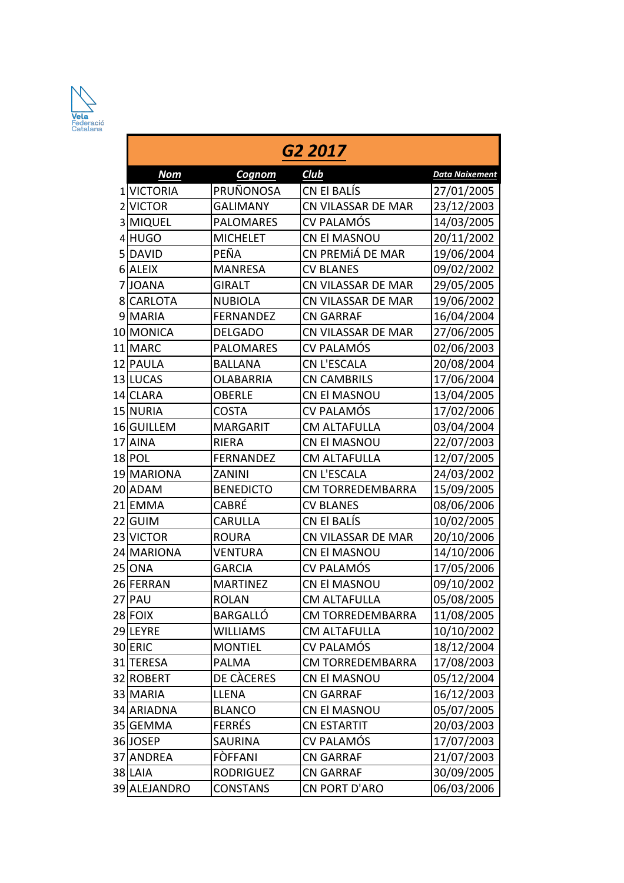

| G2 2017      |                  |                         |                       |  |  |  |  |
|--------------|------------------|-------------------------|-----------------------|--|--|--|--|
| <b>Nom</b>   | Cognom           | Club                    | <b>Data Naixement</b> |  |  |  |  |
| 1 VICTORIA   | PRUÑONOSA        | CN El BALÍS             | 27/01/2005            |  |  |  |  |
| 2 VICTOR     | <b>GALIMANY</b>  | CN VILASSAR DE MAR      | 23/12/2003            |  |  |  |  |
| 3 MIQUEL     | <b>PALOMARES</b> | <b>CV PALAMÓS</b>       | 14/03/2005            |  |  |  |  |
| 4 HUGO       | <b>MICHELET</b>  | <b>CN El MASNOU</b>     | 20/11/2002            |  |  |  |  |
| 5DAVID       | PEÑA             | CN PREMIÁ DE MAR        | 19/06/2004            |  |  |  |  |
| 6 ALEIX      | <b>MANRESA</b>   | <b>CV BLANES</b>        | 09/02/2002            |  |  |  |  |
| 7JJOANA      | <b>GIRALT</b>    | CN VILASSAR DE MAR      | 29/05/2005            |  |  |  |  |
| 8 CARLOTA    | <b>NUBIOLA</b>   | CN VILASSAR DE MAR      | 19/06/2002            |  |  |  |  |
| 9 MARIA      | <b>FERNANDEZ</b> | <b>CN GARRAF</b>        | 16/04/2004            |  |  |  |  |
| 10 MONICA    | <b>DELGADO</b>   | CN VILASSAR DE MAR      | 27/06/2005            |  |  |  |  |
| 11 MARC      | <b>PALOMARES</b> | <b>CV PALAMÓS</b>       | 02/06/2003            |  |  |  |  |
| 12 PAULA     | <b>BALLANA</b>   | <b>CN L'ESCALA</b>      | 20/08/2004            |  |  |  |  |
| 13 LUCAS     | <b>OLABARRIA</b> | <b>CN CAMBRILS</b>      | 17/06/2004            |  |  |  |  |
| 14 CLARA     | <b>OBERLE</b>    | <b>CN EI MASNOU</b>     | 13/04/2005            |  |  |  |  |
| 15 NURIA     | <b>COSTA</b>     | <b>CV PALAMÓS</b>       | 17/02/2006            |  |  |  |  |
| 16 GUILLEM   | <b>MARGARIT</b>  | <b>CM ALTAFULLA</b>     | 03/04/2004            |  |  |  |  |
| 17 AINA      | <b>RIERA</b>     | CN El MASNOU            | 22/07/2003            |  |  |  |  |
| 18 POL       | <b>FERNANDEZ</b> | <b>CM ALTAFULLA</b>     | 12/07/2005            |  |  |  |  |
| 19 MARIONA   | <b>ZANINI</b>    | <b>CN L'ESCALA</b>      | 24/03/2002            |  |  |  |  |
| 20 ADAM      | <b>BENEDICTO</b> | <b>CM TORREDEMBARRA</b> | 15/09/2005            |  |  |  |  |
| 21 EMMA      | CABRÉ            | <b>CV BLANES</b>        | 08/06/2006            |  |  |  |  |
| 22 GUIM      | <b>CARULLA</b>   | CN El BALÍS             | 10/02/2005            |  |  |  |  |
| 23 VICTOR    | <b>ROURA</b>     | CN VILASSAR DE MAR      | 20/10/2006            |  |  |  |  |
| 24 MARIONA   | <b>VENTURA</b>   | CN El MASNOU            | 14/10/2006            |  |  |  |  |
| 25 ONA       | <b>GARCIA</b>    | CV PALAMÓS              | 17/05/2006            |  |  |  |  |
| 26 FERRAN    | <b>MARTINEZ</b>  | CN El MASNOU            | 09/10/2002            |  |  |  |  |
| 27 PAU       | <b>ROLAN</b>     | CM ALTAFULLA            | 05/08/2005            |  |  |  |  |
| 28 FOIX      | <b>BARGALLÓ</b>  | <b>CM TORREDEMBARRA</b> | 11/08/2005            |  |  |  |  |
| 29LEYRE      | <b>WILLIAMS</b>  | <b>CM ALTAFULLA</b>     | 10/10/2002            |  |  |  |  |
| 30 ERIC      | <b>MONTIEL</b>   | CV PALAMÓS              | 18/12/2004            |  |  |  |  |
| 31 TERESA    | PALMA            | <b>CM TORREDEMBARRA</b> | 17/08/2003            |  |  |  |  |
| 32 ROBERT    | DE CÀCERES       | CN El MASNOU            | 05/12/2004            |  |  |  |  |
| 33 MARIA     | <b>LLENA</b>     | <b>CN GARRAF</b>        | 16/12/2003            |  |  |  |  |
| 34 ARIADNA   | <b>BLANCO</b>    | CN El MASNOU            | 05/07/2005            |  |  |  |  |
| 35 GEMMA     | <b>FERRÉS</b>    | <b>CN ESTARTIT</b>      | 20/03/2003            |  |  |  |  |
| 36JOSEP      | SAURINA          | CV PALAMÓS              | 17/07/2003            |  |  |  |  |
| 37 ANDREA    | FÒFFANI          | <b>CN GARRAF</b>        | 21/07/2003            |  |  |  |  |
| 38 LAIA      | <b>RODRIGUEZ</b> | <b>CN GARRAF</b>        | 30/09/2005            |  |  |  |  |
| 39 ALEJANDRO | <b>CONSTANS</b>  | CN PORT D'ARO           | 06/03/2006            |  |  |  |  |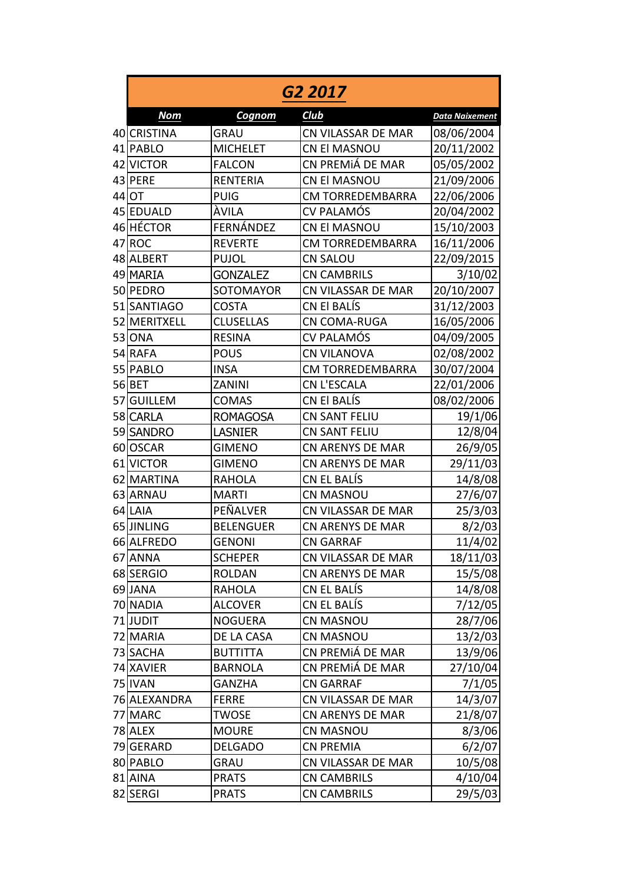| G2 2017      |                  |                         |                       |  |  |
|--------------|------------------|-------------------------|-----------------------|--|--|
| <b>Nom</b>   | Cognom           | Club                    | <b>Data Naixement</b> |  |  |
| 40 CRISTINA  | <b>GRAU</b>      | CN VILASSAR DE MAR      | 08/06/2004            |  |  |
| 41 PABLO     | <b>MICHELET</b>  | <b>CN El MASNOU</b>     | 20/11/2002            |  |  |
| 42 VICTOR    | <b>FALCON</b>    | CN PREMIÁ DE MAR        | 05/05/2002            |  |  |
| 43 PERE      | <b>RENTERIA</b>  | CN El MASNOU            | 21/09/2006            |  |  |
| 44 OT        | <b>PUIG</b>      | CM TORREDEMBARRA        | 22/06/2006            |  |  |
| 45 EDUALD    | ÀVILA            | <b>CV PALAMÓS</b>       | 20/04/2002            |  |  |
| 46 HÉCTOR    | FERNÁNDEZ        | CN El MASNOU            | 15/10/2003            |  |  |
| 47 ROC       | <b>REVERTE</b>   | <b>CM TORREDEMBARRA</b> | 16/11/2006            |  |  |
| 48 ALBERT    | <b>PUJOL</b>     | <b>CN SALOU</b>         | 22/09/2015            |  |  |
| 49 MARIA     | <b>GONZALEZ</b>  | <b>CN CAMBRILS</b>      | 3/10/02               |  |  |
| 50 PEDRO     | SOTOMAYOR        | CN VILASSAR DE MAR      | 20/10/2007            |  |  |
| 51 SANTIAGO  | <b>COSTA</b>     | CN El BALÍS             | 31/12/2003            |  |  |
| 52 MERITXELL | <b>CLUSELLAS</b> | <b>CN COMA-RUGA</b>     | 16/05/2006            |  |  |
| 53 ONA       | <b>RESINA</b>    | <b>CV PALAMÓS</b>       | 04/09/2005            |  |  |
| 54 RAFA      | <b>POUS</b>      | <b>CN VILANOVA</b>      | 02/08/2002            |  |  |
| 55 PABLO     | <b>INSA</b>      | <b>CM TORREDEMBARRA</b> | 30/07/2004            |  |  |
| 56 BET       | ZANINI           | <b>CN L'ESCALA</b>      | 22/01/2006            |  |  |
| 57 GUILLEM   | <b>COMAS</b>     | CN El BALÍS             | 08/02/2006            |  |  |
| 58 CARLA     | <b>ROMAGOSA</b>  | CN SANT FELIU           | 19/1/06               |  |  |
| 59 SANDRO    | <b>LASNIER</b>   | <b>CN SANT FELIU</b>    | 12/8/04               |  |  |
| 60 OSCAR     | <b>GIMENO</b>    | <b>CN ARENYS DE MAR</b> | 26/9/05               |  |  |
| 61 VICTOR    | <b>GIMENO</b>    | <b>CN ARENYS DE MAR</b> | 29/11/03              |  |  |
| 62 MARTINA   | <b>RAHOLA</b>    | CN EL BALÍS             | 14/8/08               |  |  |
| 63 ARNAU     | <b>MARTI</b>     | <b>CN MASNOU</b>        | 27/6/07               |  |  |
| 64 LAIA      | PEÑALVER         | CN VILASSAR DE MAR      | 25/3/03               |  |  |
| 65 JINLING   | <b>BELENGUER</b> | <b>CN ARENYS DE MAR</b> | 8/2/03                |  |  |
| 66 ALFREDO   | <b>GENONI</b>    | <b>CN GARRAF</b>        | 11/4/02               |  |  |
| 67 ANNA      | <b>SCHEPER</b>   | CN VILASSAR DE MAR      | 18/11/03              |  |  |
| 68 SERGIO    | <b>ROLDAN</b>    | <b>CN ARENYS DE MAR</b> | 15/5/08               |  |  |
| 69JANA       | <b>RAHOLA</b>    | CN EL BALÍS             | 14/8/08               |  |  |
| 70 NADIA     | <b>ALCOVER</b>   | CN EL BALÍS             | 7/12/05               |  |  |
| 71JUDIT      | <b>NOGUERA</b>   | <b>CN MASNOU</b>        | 28/7/06               |  |  |
| 72 MARIA     | DE LA CASA       | <b>CN MASNOU</b>        | 13/2/03               |  |  |
| 73 SACHA     | <b>BUTTITTA</b>  | CN PREMIÁ DE MAR        | 13/9/06               |  |  |
| 74 XAVIER    | <b>BARNOLA</b>   | CN PREMIÁ DE MAR        | 27/10/04              |  |  |
| 75 IVAN      | <b>GANZHA</b>    | <b>CN GARRAF</b>        | 7/1/05                |  |  |
| 76 ALEXANDRA | <b>FERRE</b>     | CN VILASSAR DE MAR      | 14/3/07               |  |  |
| 77 MARC      | TWOSE            | <b>CN ARENYS DE MAR</b> | 21/8/07               |  |  |
| 78 ALEX      | <b>MOURE</b>     | <b>CN MASNOU</b>        | 8/3/06                |  |  |
| 79 GERARD    | <b>DELGADO</b>   | <b>CN PREMIA</b>        | 6/2/07                |  |  |
| 80 PABLO     | <b>GRAU</b>      | CN VILASSAR DE MAR      | 10/5/08               |  |  |
| 81 AINA      | <b>PRATS</b>     | <b>CN CAMBRILS</b>      | 4/10/04               |  |  |
| 82 SERGI     | <b>PRATS</b>     | <b>CN CAMBRILS</b>      | 29/5/03               |  |  |
|              |                  |                         |                       |  |  |